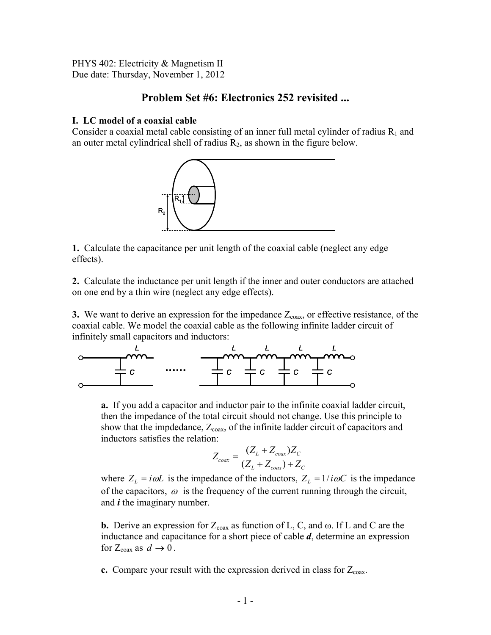PHYS 402: Electricity & Magnetism II Due date: Thursday, November 1, 2012

# **Problem Set #6: Electronics 252 revisited ...**

## **I. LC model of a coaxial cable**

Consider a coaxial metal cable consisting of an inner full metal cylinder of radius  $R_1$  and an outer metal cylindrical shell of radius  $R_2$ , as shown in the figure below.



**1.** Calculate the capacitance per unit length of the coaxial cable (neglect any edge effects).

**2.** Calculate the inductance per unit length if the inner and outer conductors are attached on one end by a thin wire (neglect any edge effects).

**3.** We want to derive an expression for the impedance  $Z_{\text{coax}}$ , or effective resistance, of the coaxial cable. We model the coaxial cable as the following infinite ladder circuit of infinitely small capacitors and inductors:



**a.** If you add a capacitor and inductor pair to the infinite coaxial ladder circuit, then the impedance of the total circuit should not change. Use this principle to show that the impdedance,  $Z_{\text{coax}}$ , of the infinite ladder circuit of capacitors and inductors satisfies the relation:

$$
Z_{coax} = \frac{(Z_L + Z_{coax})Z_C}{(Z_L + Z_{coax}) + Z_C}
$$

where  $Z_L = i\omega L$  is the impedance of the inductors,  $Z_L = 1/i\omega C$  is the impedance of the capacitors,  $\omega$  is the frequency of the current running through the circuit, and *i* the imaginary number.

**b.** Derive an expression for  $Z_{\text{coax}}$  as function of L, C, and  $\omega$ . If L and C are the inductance and capacitance for a short piece of cable *d*, determine an expression for  $Z_{\text{coax}}$  as  $d \rightarrow 0$ .

**c.** Compare your result with the expression derived in class for  $Z_{\text{coax}}$ .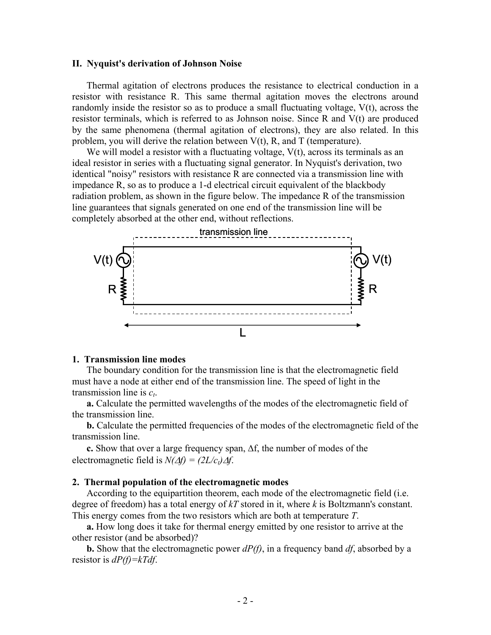#### **II. Nyquist's derivation of Johnson Noise**

Thermal agitation of electrons produces the resistance to electrical conduction in a resistor with resistance R. This same thermal agitation moves the electrons around randomly inside the resistor so as to produce a small fluctuating voltage, V(t), across the resistor terminals, which is referred to as Johnson noise. Since R and V(t) are produced by the same phenomena (thermal agitation of electrons), they are also related. In this problem, you will derive the relation between  $V(t)$ , R, and T (temperature).

We will model a resistor with a fluctuating voltage,  $V(t)$ , across its terminals as an ideal resistor in series with a fluctuating signal generator. In Nyquist's derivation, two identical "noisy" resistors with resistance R are connected via a transmission line with impedance R, so as to produce a 1-d electrical circuit equivalent of the blackbody radiation problem, as shown in the figure below. The impedance R of the transmission line guarantees that signals generated on one end of the transmission line will be completely absorbed at the other end, without reflections.



#### **1. Transmission line modes**

The boundary condition for the transmission line is that the electromagnetic field must have a node at either end of the transmission line. The speed of light in the transmission line is  $c_t$ .

**a.** Calculate the permitted wavelengths of the modes of the electromagnetic field of the transmission line.

**b.** Calculate the permitted frequencies of the modes of the electromagnetic field of the transmission line.

**c.** Show that over a large frequency span, Δf, the number of modes of the electromagnetic field is  $N(\Delta f) = (2L/c_t)\Delta f$ .

#### **2. Thermal population of the electromagnetic modes**

According to the equipartition theorem, each mode of the electromagnetic field (i.e. degree of freedom) has a total energy of *kT* stored in it, where *k* is Boltzmann's constant. This energy comes from the two resistors which are both at temperature *T*.

**a.** How long does it take for thermal energy emitted by one resistor to arrive at the other resistor (and be absorbed)?

**b.** Show that the electromagnetic power *dP(f)*, in a frequency band *df*, absorbed by a resistor is *dP(f)=kTdf*.